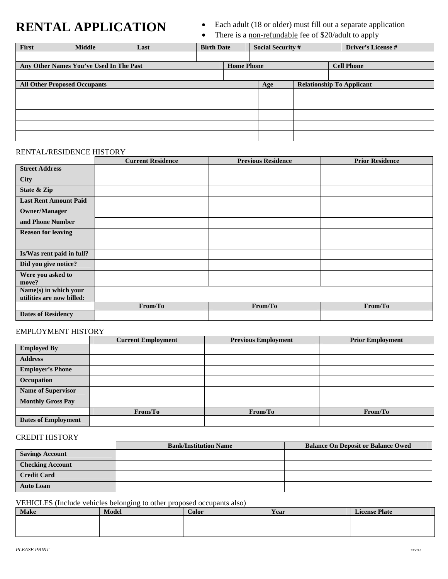# **RENTAL APPLICATION** • Each adult (18 or older) must fill out a separate application<br>There is a non-refundable fee of \$20/adult to apply

There is a non-refundable fee of \$20/adult to apply

| First                                   | <b>Middle</b> | Last | <b>Birth Date</b>                      |     | <b>Social Security #</b>         |  | <b>Driver's License #</b> |  |
|-----------------------------------------|---------------|------|----------------------------------------|-----|----------------------------------|--|---------------------------|--|
|                                         |               |      |                                        |     |                                  |  |                           |  |
| Any Other Names You've Used In The Past |               |      | <b>Cell Phone</b><br><b>Home Phone</b> |     |                                  |  |                           |  |
|                                         |               |      |                                        |     |                                  |  |                           |  |
| <b>All Other Proposed Occupants</b>     |               |      |                                        | Age | <b>Relationship To Applicant</b> |  |                           |  |
|                                         |               |      |                                        |     |                                  |  |                           |  |
|                                         |               |      |                                        |     |                                  |  |                           |  |
|                                         |               |      |                                        |     |                                  |  |                           |  |
|                                         |               |      |                                        |     |                                  |  |                           |  |
|                                         |               |      |                                        |     |                                  |  |                           |  |

#### RENTAL/RESIDENCE HISTORY

|                              | <b>Current Residence</b> | <b>Previous Residence</b> | <b>Prior Residence</b> |
|------------------------------|--------------------------|---------------------------|------------------------|
| <b>Street Address</b>        |                          |                           |                        |
| <b>City</b>                  |                          |                           |                        |
| State & Zip                  |                          |                           |                        |
| <b>Last Rent Amount Paid</b> |                          |                           |                        |
| <b>Owner/Manager</b>         |                          |                           |                        |
| and Phone Number             |                          |                           |                        |
| <b>Reason for leaving</b>    |                          |                           |                        |
|                              |                          |                           |                        |
| Is/Was rent paid in full?    |                          |                           |                        |
| Did you give notice?         |                          |                           |                        |
| Were you asked to            |                          |                           |                        |
| move?                        |                          |                           |                        |
| Name(s) in which your        |                          |                           |                        |
| utilities are now billed:    |                          |                           |                        |
|                              | From/To                  | From/To                   | From/To                |
| <b>Dates of Residency</b>    |                          |                           |                        |

# EMPLOYMENT HISTORY

|                            | <b>Current Employment</b> | <b>Previous Employment</b> | <b>Prior Employment</b> |
|----------------------------|---------------------------|----------------------------|-------------------------|
| <b>Employed By</b>         |                           |                            |                         |
| <b>Address</b>             |                           |                            |                         |
| <b>Employer's Phone</b>    |                           |                            |                         |
| Occupation                 |                           |                            |                         |
| <b>Name of Supervisor</b>  |                           |                            |                         |
| <b>Monthly Gross Pay</b>   |                           |                            |                         |
|                            | From/To                   | From/To                    | From/To                 |
| <b>Dates of Employment</b> |                           |                            |                         |

### CREDIT HISTORY

|                         | <b>Bank/Institution Name</b> | <b>Balance On Deposit or Balance Owed</b> |
|-------------------------|------------------------------|-------------------------------------------|
| <b>Savings Account</b>  |                              |                                           |
| <b>Checking Account</b> |                              |                                           |
| <b>Credit Card</b>      |                              |                                           |
| <b>Auto Loan</b>        |                              |                                           |

VEHICLES (Include vehicles belonging to other proposed occupants also)

| <b>Make</b> | <b>Model</b> | Color | Year | <b>License Plate</b> |
|-------------|--------------|-------|------|----------------------|
|             |              |       |      |                      |
|             |              |       |      |                      |